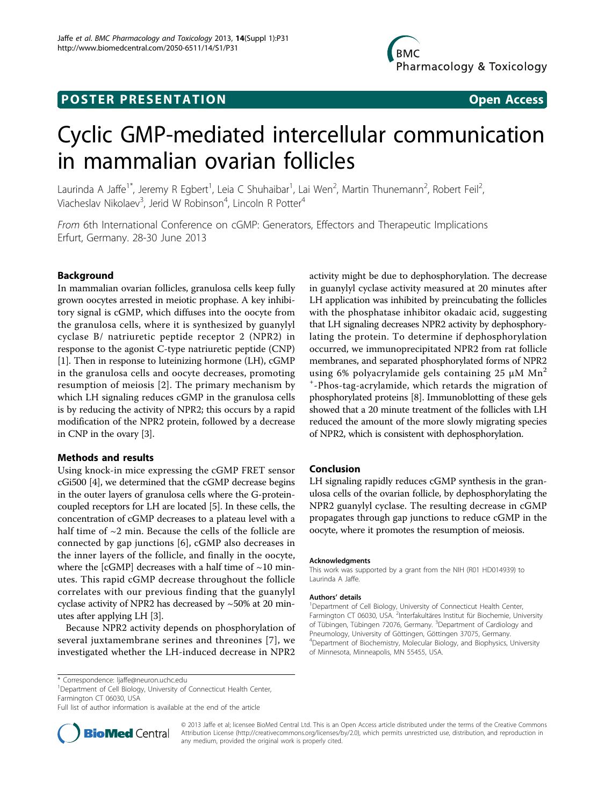# **POSTER PRESENTATION CONSUMING ACCESS**

# Cyclic GMP-mediated intercellular communication in mammalian ovarian follicles

Laurinda A Jaffe<sup>1\*</sup>, Jeremy R Egbert<sup>1</sup>, Leia C Shuhaibar<sup>1</sup>, Lai Wen<sup>2</sup>, Martin Thunemann<sup>2</sup>, Robert Feil<sup>2</sup> , Viacheslav Nikolaev<sup>3</sup>, Jerid W Robinson<sup>4</sup>, Lincoln R Potter<sup>4</sup>

From 6th International Conference on cGMP: Generators, Effectors and Therapeutic Implications Erfurt, Germany. 28-30 June 2013

# Background

In mammalian ovarian follicles, granulosa cells keep fully grown oocytes arrested in meiotic prophase. A key inhibitory signal is cGMP, which diffuses into the oocyte from the granulosa cells, where it is synthesized by guanylyl cyclase B/ natriuretic peptide receptor 2 (NPR2) in response to the agonist C-type natriuretic peptide (CNP) [[1\]](#page-1-0). Then in response to luteinizing hormone (LH), cGMP in the granulosa cells and oocyte decreases, promoting resumption of meiosis [[2\]](#page-1-0). The primary mechanism by which LH signaling reduces cGMP in the granulosa cells is by reducing the activity of NPR2; this occurs by a rapid modification of the NPR2 protein, followed by a decrease in CNP in the ovary [\[3\]](#page-1-0).

# Methods and results

Using knock-in mice expressing the cGMP FRET sensor cGi500 [[4\]](#page-1-0), we determined that the cGMP decrease begins in the outer layers of granulosa cells where the G-proteincoupled receptors for LH are located [\[5\]](#page-1-0). In these cells, the concentration of cGMP decreases to a plateau level with a half time of  $\sim$ 2 min. Because the cells of the follicle are connected by gap junctions [[6\]](#page-1-0), cGMP also decreases in the inner layers of the follicle, and finally in the oocyte, where the [cGMP] decreases with a half time of  $\sim$ 10 minutes. This rapid cGMP decrease throughout the follicle correlates with our previous finding that the guanylyl cyclase activity of NPR2 has decreased by ~50% at 20 minutes after applying LH [\[3\]](#page-1-0).

Because NPR2 activity depends on phosphorylation of several juxtamembrane serines and threonines [[7](#page-1-0)], we investigated whether the LH-induced decrease in NPR2

activity might be due to dephosphorylation. The decrease in guanylyl cyclase activity measured at 20 minutes after LH application was inhibited by preincubating the follicles with the phosphatase inhibitor okadaic acid, suggesting that LH signaling decreases NPR2 activity by dephosphorylating the protein. To determine if dephosphorylation occurred, we immunoprecipitated NPR2 from rat follicle membranes, and separated phosphorylated forms of NPR2 using 6% polyacrylamide gels containing 25  $\mu$ M Mn<sup>2</sup> + -Phos-tag-acrylamide, which retards the migration of phosphorylated proteins [[8](#page-1-0)]. Immunoblotting of these gels showed that a 20 minute treatment of the follicles with LH reduced the amount of the more slowly migrating species of NPR2, which is consistent with dephosphorylation.

# Conclusion

LH signaling rapidly reduces cGMP synthesis in the granulosa cells of the ovarian follicle, by dephosphorylating the NPR2 guanylyl cyclase. The resulting decrease in cGMP propagates through gap junctions to reduce cGMP in the oocyte, where it promotes the resumption of meiosis.

#### Acknowledgments

This work was supported by a grant from the NIH (R01 HD014939) to Laurinda A Jaffe.

#### Authors' details <sup>1</sup>

<sup>1</sup>Department of Cell Biology, University of Connecticut Health Center, Farmington CT 06030, USA. <sup>2</sup>Interfakultäres Institut für Biochemie, University of Tübingen, Tübingen 72076, Germany. <sup>3</sup>Department of Cardiology and Pneumology, University of Göttingen, Göttingen 37075, Germany. 4 Department of Biochemistry, Molecular Biology, and Biophysics, University of Minnesota, Minneapolis, MN 55455, USA.

<sup>1</sup>Department of Cell Biology, University of Connecticut Health Center, Farmington CT 06030, USA

Full list of author information is available at the end of the article



© 2013 Jaffe et al; licensee BioMed Central Ltd. This is an Open Access article distributed under the terms of the Creative Commons Attribution License [\(http://creativecommons.org/licenses/by/2.0](http://creativecommons.org/licenses/by/2.0)), which permits unrestricted use, distribution, and reproduction in any medium, provided the original work is properly cited.

<sup>\*</sup> Correspondence: [ljaffe@neuron.uchc.edu](mailto:ljaffe@neuron.uchc.edu)